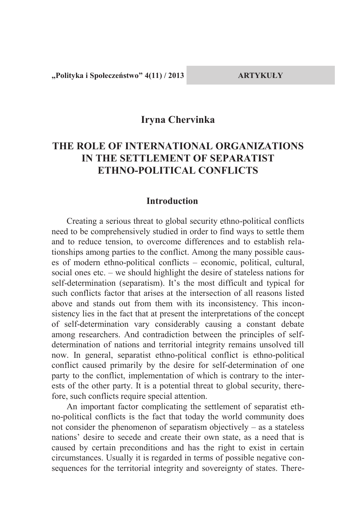**"Polityka i Społeczeństwo" 4(11) / 2013 ARTYKUŁY**

### **Iryna Chervinka**

# **THE ROLE OF INTERNATIONAL ORGANIZATIONS IN THE SETTLEMENT OF SEPARATIST ETHNO-POLITICAL CONFLICTS**

#### **Introduction**

Creating a serious threat to global security ethno-political conflicts need to be comprehensively studied in order to find ways to settle them and to reduce tension, to overcome differences and to establish relationships among parties to the conflict. Among the many possible causes of modern ethno-political conflicts – economic, political, cultural, social ones etc. – we should highlight the desire of stateless nations for self-determination (separatism). It's the most difficult and typical for such conflicts factor that arises at the intersection of all reasons listed above and stands out from them with its inconsistency. This inconsistency lies in the fact that at present the interpretations of the concept of self-determination vary considerably causing a constant debate among researchers. And contradiction between the principles of selfdetermination of nations and territorial integrity remains unsolved till now. In general, separatist ethno-political conflict is ethno-political conflict caused primarily by the desire for self-determination of one party to the conflict, implementation of which is contrary to the interests of the other party. It is a potential threat to global security, therefore, such conflicts require special attention.

An important factor complicating the settlement of separatist ethno-political conflicts is the fact that today the world community does not consider the phenomenon of separatism objectively – as a stateless nations' desire to secede and create their own state, as a need that is caused by certain preconditions and has the right to exist in certain circumstances. Usually it is regarded in terms of possible negative consequences for the territorial integrity and sovereignty of states. There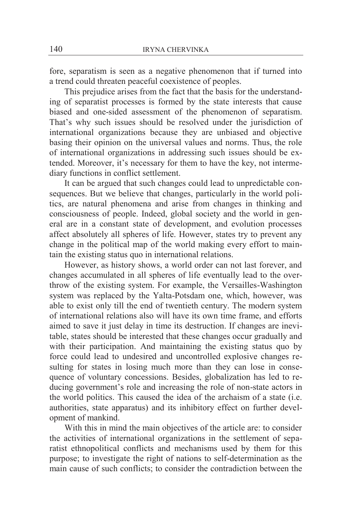fore, separatism is seen as a negative phenomenon that if turned into a trend could threaten peaceful coexistence of peoples.

This prejudice arises from the fact that the basis for the understanding of separatist processes is formed by the state interests that cause biased and one-sided assessment of the phenomenon of separatism. That's why such issues should be resolved under the jurisdiction of international organizations because they are unbiased and objective basing their opinion on the universal values and norms. Thus, the role of international organizations in addressing such issues should be extended. Moreover, it's necessary for them to have the key, not intermediary functions in conflict settlement.

It can be argued that such changes could lead to unpredictable consequences. But we believe that changes, particularly in the world politics, are natural phenomena and arise from changes in thinking and consciousness of people. Indeed, global society and the world in general are in a constant state of development, and evolution processes affect absolutely all spheres of life. However, states try to prevent any change in the political map of the world making every effort to maintain the existing status quo in international relations.

However, as history shows, a world order can not last forever, and changes accumulated in all spheres of life eventually lead to the overthrow of the existing system. For example, the Versailles-Washington system was replaced by the Yalta-Potsdam one, which, however, was able to exist only till the end of twentieth century. The modern system of international relations also will have its own time frame, and efforts aimed to save it just delay in time its destruction. If changes are inevitable, states should be interested that these changes occur gradually and with their participation. And maintaining the existing status quo by force could lead to undesired and uncontrolled explosive changes resulting for states in losing much more than they can lose in consequence of voluntary concessions. Besides, globalization has led to reducing government's role and increasing the role of non-state actors in the world politics. This caused the idea of the archaism of a state (i.e. authorities, state apparatus) and its inhibitory effect on further development of mankind.

With this in mind the main objectives of the article are: to consider the activities of international organizations in the settlement of separatist ethnopolitical conflicts and mechanisms used by them for this purpose; to investigate the right of nations to self-determination as the main cause of such conflicts; to consider the contradiction between the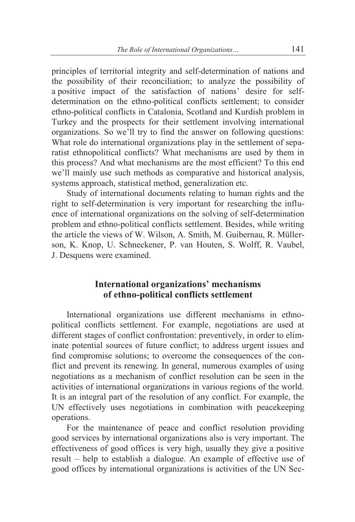principles of territorial integrity and self-determination of nations and the possibility of their reconciliation; to analyze the possibility of a positive impact of the satisfaction of nations' desire for selfdetermination on the ethno-political conflicts settlement; to consider ethno-political conflicts in Catalonia, Scotland and Kurdish problem in Turkey and the prospects for their settlement involving international organizations. So we'll try to find the answer on following questions: What role do international organizations play in the settlement of separatist ethnopolitical conflicts? What mechanisms are used by them in this process? And what mechanisms are the most efficient? To this end we'll mainly use such methods as comparative and historical analysis, systems approach, statistical method, generalization etc.

Study of international documents relating to human rights and the right to self-determination is very important for researching the influence of international organizations on the solving of self-determination problem and ethno-political conflicts settlement. Besides, while writing the article the views of W. Wilson, A. Smith, M. Guibernau, R. Müllerson, K. Knop, U. Schneckener, P. van Houten, S. Wolff, R. Vaubel, J. Desquens were examined.

#### **International organizations' mechanisms of ethno-political conflicts settlement**

International organizations use different mechanisms in ethnopolitical conflicts settlement. For example, negotiations are used at different stages of conflict confrontation: preventively, in order to eliminate potential sources of future conflict; to address urgent issues and find compromise solutions; to overcome the consequences of the conflict and prevent its renewing. In general, numerous examples of using negotiations as a mechanism of conflict resolution can be seen in the activities of international organizations in various regions of the world. It is an integral part of the resolution of any conflict. For example, the UN effectively uses negotiations in combination with peacekeeping operations.

For the maintenance of peace and conflict resolution providing good services by international organizations also is very important. The effectiveness of good offices is very high, usually they give a positive result – help to establish a dialogue. An example of effective use of good offices by international organizations is activities of the UN Sec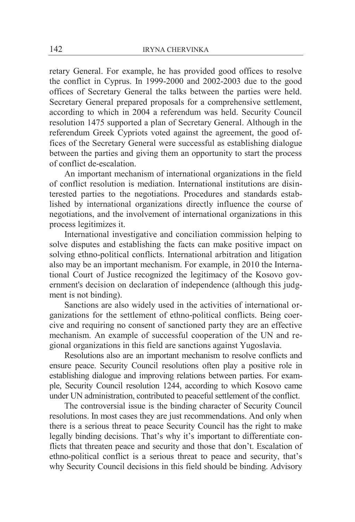retary General. For example, he has provided good offices to resolve the conflict in Cyprus. In 1999-2000 and 2002-2003 due to the good offices of Secretary General the talks between the parties were held. Secretary General prepared proposals for a comprehensive settlement, according to which in 2004 a referendum was held. Security Council resolution 1475 supported a plan of Secretary General. Although in the referendum Greek Cypriots voted against the agreement, the good offices of the Secretary General were successful as establishing dialogue between the parties and giving them an opportunity to start the process of conflict de-escalation.

An important mechanism of international organizations in the field of conflict resolution is mediation. International institutions are disinterested parties to the negotiations. Procedures and standards established by international organizations directly influence the course of negotiations, and the involvement of international organizations in this process legitimizes it.

International investigative and conciliation commission helping to solve disputes and establishing the facts can make positive impact on solving ethno-political conflicts. International arbitration and litigation also may be an important mechanism. For example, in 2010 the International Court of Justice recognized the legitimacy of the Kosovo government's decision on declaration of independence (although this judgment is not binding).

Sanctions are also widely used in the activities of international organizations for the settlement of ethno-political conflicts. Being coercive and requiring no consent of sanctioned party they are an effective mechanism. An example of successful cooperation of the UN and regional organizations in this field are sanctions against Yugoslavia.

Resolutions also are an important mechanism to resolve conflicts and ensure peace. Security Council resolutions often play a positive role in establishing dialogue and improving relations between parties. For example, Security Council resolution 1244, according to which Kosovo came under UN administration, contributed to peaceful settlement of the conflict.

The controversial issue is the binding character of Security Council resolutions. In most cases they are just recommendations. And only when there is a serious threat to peace Security Council has the right to make legally binding decisions. That's why it's important to differentiate conflicts that threaten peace and security and those that don't. Escalation of ethno-political conflict is a serious threat to peace and security, that's why Security Council decisions in this field should be binding. Advisory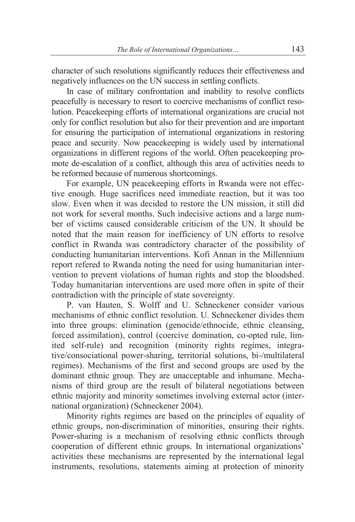character of such resolutions significantly reduces their effectiveness and negatively influences on the UN success in settling conflicts.

In case of military confrontation and inability to resolve conflicts peacefully is necessary to resort to coercive mechanisms of conflict resolution. Peacekeeping efforts of international organizations are crucial not only for conflict resolution but also for their prevention and are important for ensuring the participation of international organizations in restoring peace and security. Now peacekeeping is widely used by international organizations in different regions of the world. Often peacekeeping promote de-escalation of a conflict, although this area of activities needs to be reformed because of numerous shortcomings.

For example, UN peacekeeping efforts in Rwanda were not effective enough. Huge sacrifices need immediate reaction, but it was too slow. Even when it was decided to restore the UN mission, it still did not work for several months. Such indecisive actions and a large number of victims caused considerable criticism of the UN. It should be noted that the main reason for inefficiency of UN efforts to resolve conflict in Rwanda was contradictory character of the possibility of conducting humanitarian interventions. Kofi Annan in the Millennium report refered to Rwanda noting the need for using humanitarian intervention to prevent violations of human rights and stop the bloodshed. Today humanitarian interventions are used more often in spite of their contradiction with the principle of state sovereignty.

P. van Hauten, S. Wolff and U. Schneckener consider various mechanisms of ethnic conflict resolution. U. Schneckener divides them into three groups: elimination (genocide/ethnocide, ethnic cleansing, forced assimilation), control (coercive domination, co-opted rule, limited self-rule) and recognition (minority rights regimes, integrative/consociational power-sharing, territorial solutions, bi-/multilateral regimes). Mechanisms of the first and second groups are used by the dominant ethnic group. They are unacceptable and inhumane. Mechanisms of third group are the result of bilateral negotiations between ethnic majority and minority sometimes involving external actor (international organization) (Schneckener 2004).

Minority rights regimes are based on the principles of equality of ethnic groups, non-discrimination of minorities, ensuring their rights. Power-sharing is a mechanism of resolving ethnic conflicts through cooperation of different ethnic groups. In international organizations' activities these mechanisms are represented by the international legal instruments, resolutions, statements aiming at protection of minority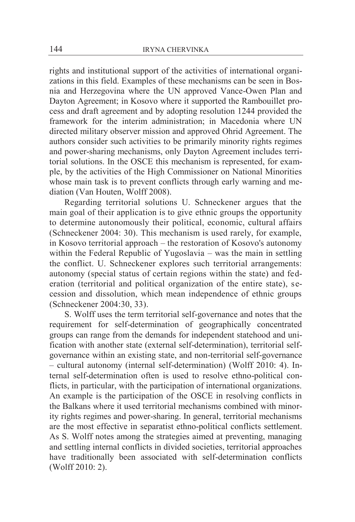rights and institutional support of the activities of international organizations in this field. Examples of these mechanisms can be seen in Bosnia and Herzegovina where the UN approved Vance-Owen Plan and Dayton Agreement; in Kosovo where it supported the Rambouillet process and draft agreement and by adopting resolution 1244 provided the framework for the interim administration; in Macedonia where UN directed military observer mission and approved Ohrid Agreement. The authors consider such activities to be primarily minority rights regimes and power-sharing mechanisms, only Dayton Agreement includes territorial solutions. In the OSCE this mechanism is represented, for example, by the activities of the High Commissioner on National Minorities whose main task is to prevent conflicts through early warning and mediation (Van Houten, Wolff 2008).

Regarding territorial solutions U. Schneckener argues that the main goal of their application is to give ethnic groups the opportunity to determine autonomously their political, economic, cultural affairs (Schneckener 2004: 30). This mechanism is used rarely, for example, in Kosovo territorial approach – the restoration of Kosovo's autonomy within the Federal Republic of Yugoslavia – was the main in settling the conflict. U. Schneckener explores such territorial arrangements: autonomy (special status of certain regions within the state) and federation (territorial and political organization of the entire state), secession and dissolution, which mean independence of ethnic groups (Schneckener 2004:30, 33).

S. Wolff uses the term territorial self-governance and notes that the requirement for self-determination of geographically concentrated groups can range from the demands for independent statehood and unification with another state (external self-determination), territorial selfgovernance within an existing state, and non-territorial self-governance – cultural autonomy (internal self-determination) (Wolff 2010: 4). Internal self-determination often is used to resolve ethno-political conflicts, in particular, with the participation of international organizations. An example is the participation of the OSCE in resolving conflicts in the Balkans where it used territorial mechanisms combined with minority rights regimes and power-sharing. In general, territorial mechanisms are the most effective in separatist ethno-political conflicts settlement. As S. Wolff notes among the strategies aimed at preventing, managing and settling internal conflicts in divided societies, territorial approaches have traditionally been associated with self-determination conflicts (Wolff 2010: 2).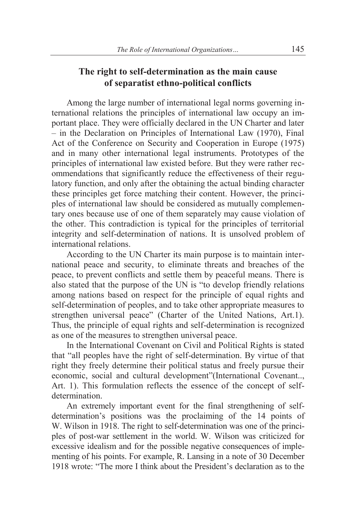# **The right to self-determination as the main cause of separatist ethno-political conflicts**

Among the large number of international legal norms governing international relations the principles of international law occupy an important place. They were officially declared in the UN Charter and later – in the Declaration on Principles of International Law (1970), Final Act of the Conference on Security and Cooperation in Europe (1975) and in many other international legal instruments. Prototypes of the principles of international law existed before. But they were rather recommendations that significantly reduce the effectiveness of their regulatory function, and only after the obtaining the actual binding character these principles get force matching their content. However, the principles of international law should be considered as mutually complementary ones because use of one of them separately may cause violation of the other. This contradiction is typical for the principles of territorial integrity and self-determination of nations. It is unsolved problem of international relations.

According to the UN Charter its main purpose is to maintain international peace and security, to eliminate threats and breaches of the peace, to prevent conflicts and settle them by peaceful means. There is also stated that the purpose of the UN is "to develop friendly relations among nations based on respect for the principle of equal rights and self-determination of peoples, and to take other appropriate measures to strengthen universal peace" (Charter of the United Nations, Art.1). Thus, the principle of equal rights and self-determination is recognized as one of the measures to strengthen universal peace.

In the International Covenant on Civil and Political Rights is stated that "all peoples have the right of self-determination. By virtue of that right they freely determine their political status and freely pursue their economic, social and cultural development"(International Covenant.., Art. 1). This formulation reflects the essence of the concept of selfdetermination.

An extremely important event for the final strengthening of selfdetermination's positions was the proclaiming of the 14 points of W. Wilson in 1918. The right to self-determination was one of the principles of post-war settlement in the world. W. Wilson was criticized for excessive idealism and for the possible negative consequences of implementing of his points. For example, R. Lansing in a note of 30 December 1918 wrote: "The more I think about the President's declaration as to the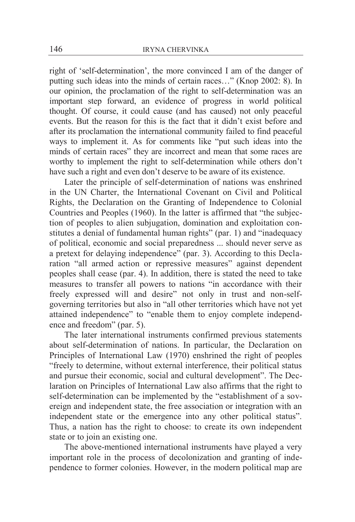right of 'self-determination', the more convinced I am of the danger of putting such ideas into the minds of certain races…" (Knop 2002: 8). In our opinion, the proclamation of the right to self-determination was an important step forward, an evidence of progress in world political thought. Of course, it could cause (and has caused) not only peaceful events. But the reason for this is the fact that it didn't exist before and after its proclamation the international community failed to find peaceful ways to implement it. As for comments like "put such ideas into the minds of certain races" they are incorrect and mean that some races are worthy to implement the right to self-determination while others don't have such a right and even don't deserve to be aware of its existence.

Later the principle of self-determination of nations was enshrined in the UN Charter, the International Covenant on Civil and Political Rights, the Declaration on the Granting of Independence to Colonial Countries and Peoples (1960). In the latter is affirmed that "the subjection of peoples to alien subjugation, domination and exploitation constitutes a denial of fundamental human rights" (par. 1) and "inadequacy of political, economic and social preparedness ... should never serve as a pretext for delaying independence" (par. 3). According to this Declaration "all armed action or repressive measures" against dependent peoples shall cease (par. 4). In addition, there is stated the need to take measures to transfer all powers to nations "in accordance with their freely expressed will and desire" not only in trust and non-selfgoverning territories but also in "all other territories which have not yet attained independence" to "enable them to enjoy complete independence and freedom" (par. 5).

The later international instruments confirmed previous statements about self-determination of nations. In particular, the Declaration on Principles of International Law (1970) enshrined the right of peoples "freely to determine, without external interference, their political status and pursue their economic, social and cultural development". The Declaration on Principles of International Law also affirms that the right to self-determination can be implemented by the "establishment of a sovereign and independent state, the free association or integration with an independent state or the emergence into any other political status". Thus, a nation has the right to choose: to create its own independent state or to join an existing one.

The above-mentioned international instruments have played a very important role in the process of decolonization and granting of independence to former colonies. However, in the modern political map are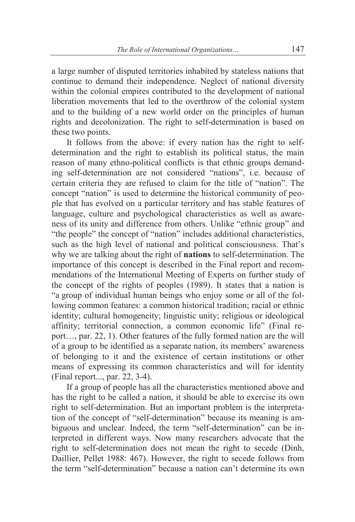a large number of disputed territories inhabited by stateless nations that continue to demand their independence. Neglect of national diversity within the colonial empires contributed to the development of national liberation movements that led to the overthrow of the colonial system and to the building of a new world order on the principles of human rights and decolonization. The right to self-determination is based on these two points.

It follows from the above: if every nation has the right to selfdetermination and the right to establish its political status, the main reason of many ethno-political conflicts is that ethnic groups demanding self-determination are not considered "nations", i.e. because of certain criteria they are refused to claim for the title of "nation". The concept "nation" is used to determine the historical community of people that has evolved on a particular territory and has stable features of language, culture and psychological characteristics as well as awareness of its unity and difference from others. Unlike "ethnic group" and "the people" the concept of "nation" includes additional characteristics, such as the high level of national and political consciousness. That's why we are talking about the right of **nations** to self-determination. The importance of this concept is described in the Final report and recommendations of the International Meeting of Experts on further study of the concept of the rights of peoples (1989). It states that a nation is "a group of individual human beings who enjoy some or all of the following common features: a common historical tradition; racial or ethnic identity; cultural homogeneity; linguistic unity; religious or ideological affinity; territorial connection, a common economic life" (Final report…, par. 22, 1). Other features of the fully formed nation are the will of a group to be identified as a separate nation, its members' awareness of belonging to it and the existence of certain institutions or other means of expressing its common characteristics and will for identity (Final report..., par. 22, 3-4).

If a group of people has all the characteristics mentioned above and has the right to be called a nation, it should be able to exercise its own right to self-determination. But an important problem is the interpretation of the concept of "self-determination" because its meaning is ambiguous and unclear. Indeed, the term "self-determination" can be interpreted in different ways. Now many researchers advocate that the right to self-determination does not mean the right to secede (Dinh, Daillier, Pellet 1988: 467). However, the right to secede follows from the term "self-determination" because a nation can't determine its own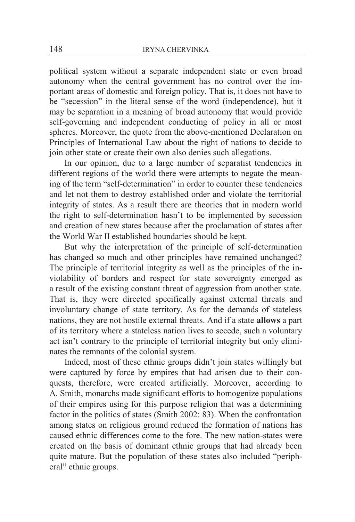political system without a separate independent state or even broad autonomy when the central government has no control over the important areas of domestic and foreign policy. That is, it does not have to be "secession" in the literal sense of the word (independence), but it may be separation in a meaning of broad autonomy that would provide self-governing and independent conducting of policy in all or most spheres. Moreover, the quote from the above-mentioned Declaration on Principles of International Law about the right of nations to decide to join other state or create their own also denies such allegations.

In our opinion, due to a large number of separatist tendencies in different regions of the world there were attempts to negate the meaning of the term "self-determination" in order to counter these tendencies and let not them to destroy established order and violate the territorial integrity of states. As a result there are theories that in modern world the right to self-determination hasn't to be implemented by secession and creation of new states because after the proclamation of states after the World War II established boundaries should be kept.

But why the interpretation of the principle of self-determination has changed so much and other principles have remained unchanged? The principle of territorial integrity as well as the principles of the inviolability of borders and respect for state sovereignty emerged as a result of the existing constant threat of aggression from another state. That is, they were directed specifically against external threats and involuntary change of state territory. As for the demands of stateless nations, they are not hostile external threats. And if a state **allows** a part of its territory where a stateless nation lives to secede, such a voluntary act isn't contrary to the principle of territorial integrity but only eliminates the remnants of the colonial system.

Indeed, most of these ethnic groups didn't join states willingly but were captured by force by empires that had arisen due to their conquests, therefore, were created artificially. Moreover, according to A. Smith, monarchs made significant efforts to homogenize populations of their empires using for this purpose religion that was a determining factor in the politics of states (Smith 2002: 83). When the confrontation among states on religious ground reduced the formation of nations has caused ethnic differences come to the fore. The new nation-states were created on the basis of dominant ethnic groups that had already been quite mature. But the population of these states also included "peripheral" ethnic groups.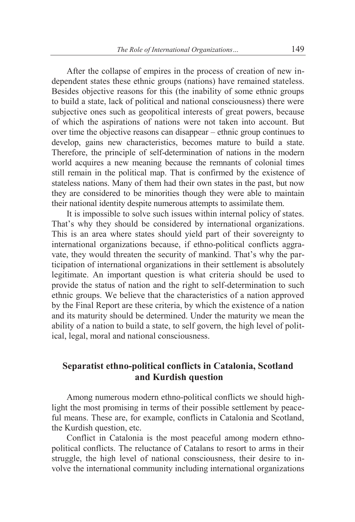After the collapse of empires in the process of creation of new independent states these ethnic groups (nations) have remained stateless. Besides objective reasons for this (the inability of some ethnic groups to build a state, lack of political and national consciousness) there were subjective ones such as geopolitical interests of great powers, because of which the aspirations of nations were not taken into account. But over time the objective reasons can disappear – ethnic group continues to develop, gains new characteristics, becomes mature to build a state. Therefore, the principle of self-determination of nations in the modern world acquires a new meaning because the remnants of colonial times still remain in the political map. That is confirmed by the existence of stateless nations. Many of them had their own states in the past, but now they are considered to be minorities though they were able to maintain their national identity despite numerous attempts to assimilate them.

It is impossible to solve such issues within internal policy of states. That's why they should be considered by international organizations. This is an area where states should yield part of their sovereignty to international organizations because, if ethno-political conflicts aggravate, they would threaten the security of mankind. That's why the participation of international organizations in their settlement is absolutely legitimate. An important question is what criteria should be used to provide the status of nation and the right to self-determination to such ethnic groups. We believe that the characteristics of a nation approved by the Final Report are these criteria, by which the existence of a nation and its maturity should be determined. Under the maturity we mean the ability of a nation to build a state, to self govern, the high level of political, legal, moral and national consciousness.

# **Separatist ethno-political conflicts in Catalonia, Scotland and Kurdish question**

Among numerous modern ethno-political conflicts we should highlight the most promising in terms of their possible settlement by peaceful means. These are, for example, conflicts in Catalonia and Scotland, the Kurdish question, etc.

Conflict in Catalonia is the most peaceful among modern ethnopolitical conflicts. The reluctance of Catalans to resort to arms in their struggle, the high level of national consciousness, their desire to involve the international community including international organizations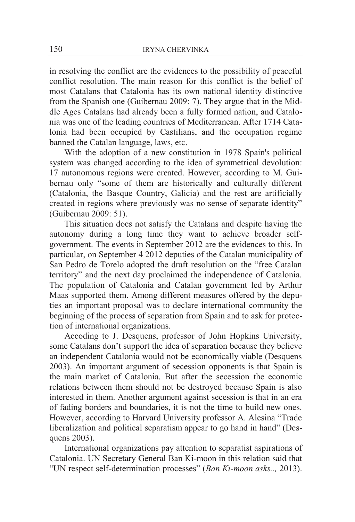in resolving the conflict are the evidences to the possibility of peaceful conflict resolution. The main reason for this conflict is the belief of most Catalans that Catalonia has its own national identity distinctive from the Spanish one (Guibernau 2009: 7). They argue that in the Middle Ages Catalans had already been a fully formed nation, and Catalonia was one of the leading countries of Mediterranean. After 1714 Catalonia had been occupied by Castilians, and the occupation regime banned the Catalan language, laws, etc.

With the adoption of a new constitution in 1978 Spain's political system was changed according to the idea of symmetrical devolution: 17 autonomous regions were created. However, according to M. Guibernau only "some of them are historically and culturally different (Catalonia, the Basque Country, Galicia) and the rest are artificially created in regions where previously was no sense of separate identity" (Guibernau 2009: 51).

This situation does not satisfy the Catalans and despite having the autonomy during a long time they want to achieve broader selfgovernment. The events in September 2012 are the evidences to this. In particular, on September 4 2012 deputies of the Catalan municipality of San Pedro de Torelo adopted the draft resolution on the "free Catalan territory" and the next day proclaimed the independence of Catalonia. The population of Catalonia and Catalan government led by Arthur Maas supported them. Among different measures offered by the deputies an important proposal was to declare international community the beginning of the process of separation from Spain and to ask for protection of international organizations.

Accoding to J. Desquens, professor of John Hopkins University, some Catalans don't support the idea of separation because they believe an independent Catalonia would not be economically viable (Desquens 2003). An important argument of secession opponents is that Spain is the main market of Catalonia. But after the secession the economic relations between them should not be destroyed because Spain is also interested in them. Another argument against secession is that in an era of fading borders and boundaries, it is not the time to build new ones. However, according to Harvard University professor A. Alesina "Trade liberalization and political separatism appear to go hand in hand" (Desquens 2003).

International organizations pay attention to separatist aspirations of Catalonia. UN Secretary General Ban Ki-moon in this relation said that "UN respect self-determination processes" (*Ban Ki-moon asks..,* 2013).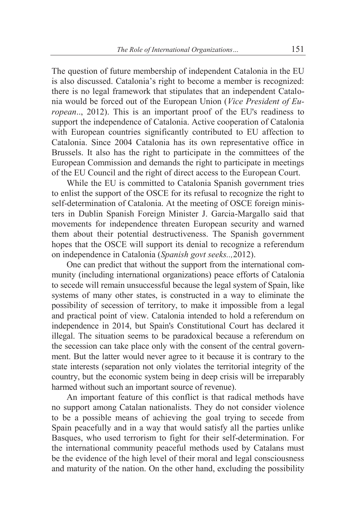The question of future membership of independent Catalonia in the EU is also discussed. Catalonia's right to become a member is recognized: there is no legal framework that stipulates that an independent Catalonia would be forced out of the European Union (*Vice President of European*.., 2012). This is an important proof of the EU's readiness to support the independence of Catalonia. Active cooperation of Catalonia with European countries significantly contributed to EU affection to Catalonia. Since 2004 Catalonia has its own representative office in Brussels. It also has the right to participate in the committees of the European Commission and demands the right to participate in meetings of the EU Council and the right of direct access to the European Court.

While the EU is committed to Catalonia Spanish government tries to enlist the support of the OSCE for its refusal to recognize the right to self-determination of Catalonia. At the meeting of OSCE foreign ministers in Dublin Spanish Foreign Minister J. Garcia-Margallo said that movements for independence threaten European security and warned them about their potential destructiveness. The Spanish government hopes that the OSCE will support its denial to recognize a referendum on independence in Catalonia (*Spanish govt seeks..,*2012).

One can predict that without the support from the international community (including international organizations) peace efforts of Catalonia to secede will remain unsuccessful because the legal system of Spain, like systems of many other states, is constructed in a way to eliminate the possibility of secession of territory, to make it impossible from a legal and practical point of view. Catalonia intended to hold a referendum on independence in 2014, but Spain's Constitutional Court has declared it illegal. The situation seems to be paradoxical because a referendum on the secession can take place only with the consent of the central government. But the latter would never agree to it because it is contrary to the state interests (separation not only violates the territorial integrity of the country, but the economic system being in deep crisis will be irreparably harmed without such an important source of revenue).

An important feature of this conflict is that radical methods have no support among Catalan nationalists. They do not consider violence to be a possible means of achieving the goal trying to secede from Spain peacefully and in a way that would satisfy all the parties unlike Basques, who used terrorism to fight for their self-determination. For the international community peaceful methods used by Catalans must be the evidence of the high level of their moral and legal consciousness and maturity of the nation. On the other hand, excluding the possibility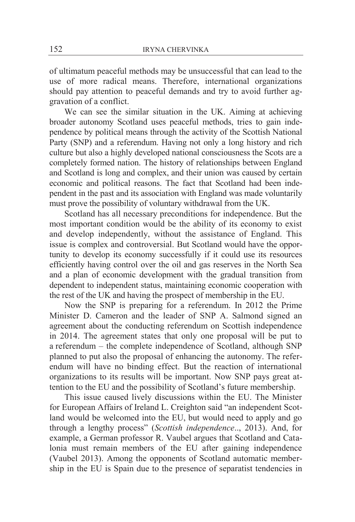of ultimatum peaceful methods may be unsuccessful that can lead to the use of more radical means. Therefore, international organizations should pay attention to peaceful demands and try to avoid further aggravation of a conflict.

We can see the similar situation in the UK. Aiming at achieving broader autonomy Scotland uses peaceful methods, tries to gain independence by political means through the activity of the Scottish National Party (SNP) and a referendum. Having not only a long history and rich culture but also a highly developed national consciousness the Scots are a completely formed nation. The history of relationships between England and Scotland is long and complex, and their union was caused by certain economic and political reasons. The fact that Scotland had been independent in the past and its association with England was made voluntarily must prove the possibility of voluntary withdrawal from the UK.

Scotland has all necessary preconditions for independence. But the most important condition would be the ability of its economy to exist and develop independently, without the assistance of England. This issue is complex and controversial. But Scotland would have the opportunity to develop its economy successfully if it could use its resources efficiently having control over the oil and gas reserves in the North Sea and a plan of economic development with the gradual transition from dependent to independent status, maintaining economic cooperation with the rest of the UK and having the prospect of membership in the EU.

Now the SNP is preparing for a referendum. In 2012 the Prime Minister D. Cameron and the leader of SNP A. Salmond signed an agreement about the conducting referendum on Scottish independence in 2014. The agreement states that only one proposal will be put to a referendum – the complete independence of Scotland, although SNP planned to put also the proposal of enhancing the autonomy. The referendum will have no binding effect. But the reaction of international organizations to its results will be important. Now SNP pays great attention to the EU and the possibility of Scotland's future membership.

This issue caused lively discussions within the EU. The Minister for European Affairs of Ireland L. Creighton said "an independent Scotland would be welcomed into the EU, but would need to apply and go through a lengthy process" (*Scottish independence*.., 2013). And, for example, a German professor R. Vaubel argues that Scotland and Catalonia must remain members of the EU after gaining independence (Vaubel 2013). Among the opponents of Scotland automatic membership in the EU is Spain due to the presence of separatist tendencies in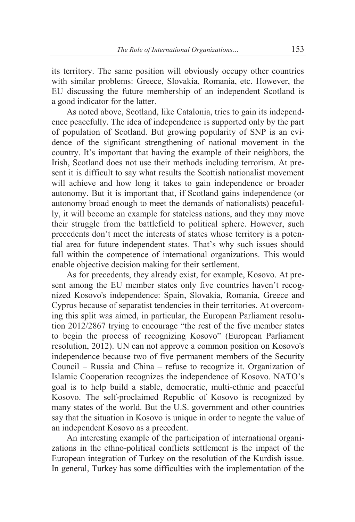its territory. The same position will obviously occupy other countries with similar problems: Greece, Slovakia, Romania, etc. However, the EU discussing the future membership of an independent Scotland is a good indicator for the latter.

As noted above, Scotland, like Catalonia, tries to gain its independence peacefully. The idea of independence is supported only by the part of population of Scotland. But growing popularity of SNP is an evidence of the significant strengthening of national movement in the country. It's important that having the example of their neighbors, the Irish, Scotland does not use their methods including terrorism. At present it is difficult to say what results the Scottish nationalist movement will achieve and how long it takes to gain independence or broader autonomy. But it is important that, if Scotland gains independence (or autonomy broad enough to meet the demands of nationalists) peacefully, it will become an example for stateless nations, and they may move their struggle from the battlefield to political sphere. However, such precedents don't meet the interests of states whose territory is a potential area for future independent states. That's why such issues should fall within the competence of international organizations. This would enable objective decision making for their settlement.

As for precedents, they already exist, for example, Kosovo. At present among the EU member states only five countries haven't recognized Kosovo's independence: Spain, Slovakia, Romania, Greece and Cyprus because of separatist tendencies in their territories. At overcoming this split was aimed, in particular, the European Parliament resolution 2012/2867 trying to encourage "the rest of the five member states to begin the process of recognizing Kosovo" (European Parliament resolution, 2012). UN can not approve a common position on Kosovo's independence because two of five permanent members of the Security Council – Russia and China – refuse to recognize it. Organization of Islamic Cooperation recognizes the independence of Kosovo. NATO's goal is to help build a stable, democratic, multi-ethnic and peaceful Kosovo. The self-proclaimed Republic of Kosovo is recognized by many states of the world. But the U.S. government and other countries say that the situation in Kosovo is unique in order to negate the value of an independent Kosovo as a precedent.

An interesting example of the participation of international organizations in the ethno-political conflicts settlement is the impact of the European integration of Turkey on the resolution of the Kurdish issue. In general, Turkey has some difficulties with the implementation of the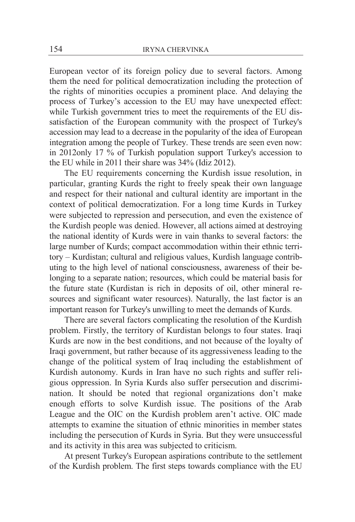European vector of its foreign policy due to several factors. Among them the need for political democratization including the protection of the rights of minorities occupies a prominent place. And delaying the process of Turkey's accession to the EU may have unexpected effect: while Turkish government tries to meet the requirements of the EU dissatisfaction of the European community with the prospect of Turkey's accession may lead to a decrease in the popularity of the idea of European integration among the people of Turkey. These trends are seen even now: in 2012only 17 % of Turkish population support Turkey's accession to the EU while in 2011 their share was 34% (Idiz 2012).

The EU requirements concerning the Kurdish issue resolution, in particular, granting Kurds the right to freely speak their own language and respect for their national and cultural identity are important in the context of political democratization. For a long time Kurds in Turkey were subjected to repression and persecution, and even the existence of the Kurdish people was denied. However, all actions aimed at destroying the national identity of Kurds were in vain thanks to several factors: the large number of Kurds; compact accommodation within their ethnic territory – Kurdistan; cultural and religious values, Kurdish language contributing to the high level of national consciousness, awareness of their belonging to a separate nation; resources, which could be material basis for the future state (Kurdistan is rich in deposits of oil, other mineral resources and significant water resources). Naturally, the last factor is an important reason for Turkey's unwilling to meet the demands of Kurds.

There are several factors complicating the resolution of the Kurdish problem. Firstly, the territory of Kurdistan belongs to four states. Iraqi Kurds are now in the best conditions, and not because of the loyalty of Iraqi government, but rather because of its aggressiveness leading to the change of the political system of Iraq including the establishment of Kurdish autonomy. Kurds in Iran have no such rights and suffer religious oppression. In Syria Kurds also suffer persecution and discrimination. It should be noted that regional organizations don't make enough efforts to solve Kurdish issue. The positions of the Arab League and the OIC on the Kurdish problem aren't active. OIC made attempts to examine the situation of ethnic minorities in member states including the persecution of Kurds in Syria. But they were unsuccessful and its activity in this area was subjected to criticism.

At present Turkey's European aspirations contribute to the settlement of the Kurdish problem. The first steps towards compliance with the EU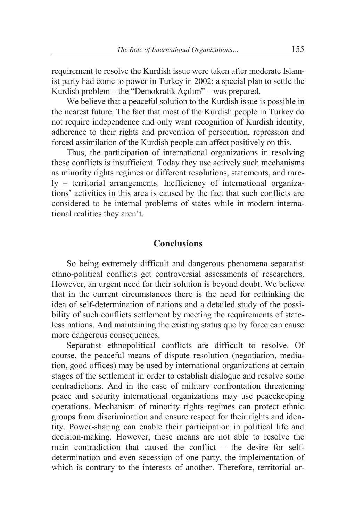requirement to resolve the Kurdish issue were taken after moderate Islamist party had come to power in Turkey in 2002: a special plan to settle the Kurdish problem – the "Demokratik Açılım" – was prepared.

We believe that a peaceful solution to the Kurdish issue is possible in the nearest future. The fact that most of the Kurdish people in Turkey do not require independence and only want recognition of Kurdish identity, adherence to their rights and prevention of persecution, repression and forced assimilation of the Kurdish people can affect positively on this.

Thus, the participation of international organizations in resolving these conflicts is insufficient. Today they use actively such mechanisms as minority rights regimes or different resolutions, statements, and rarely – territorial arrangements. Inefficiency of international organizations' activities in this area is caused by the fact that such conflicts are considered to be internal problems of states while in modern international realities they aren't.

### **Conclusions**

So being extremely difficult and dangerous phenomena separatist ethno-political conflicts get controversial assessments of researchers. However, an urgent need for their solution is beyond doubt. We believe that in the current circumstances there is the need for rethinking the idea of self-determination of nations and a detailed study of the possibility of such conflicts settlement by meeting the requirements of stateless nations. And maintaining the existing status quo by force can cause more dangerous consequences.

Separatist ethnopolitical conflicts are difficult to resolve. Of course, the peaceful means of dispute resolution (negotiation, mediation, good offices) may be used by international organizations at certain stages of the settlement in order to establish dialogue and resolve some contradictions. And in the case of military confrontation threatening peace and security international organizations may use peacekeeping operations. Mechanism of minority rights regimes can protect ethnic groups from discrimination and ensure respect for their rights and identity. Power-sharing can enable their participation in political life and decision-making. However, these means are not able to resolve the main contradiction that caused the conflict – the desire for selfdetermination and even secession of one party, the implementation of which is contrary to the interests of another. Therefore, territorial ar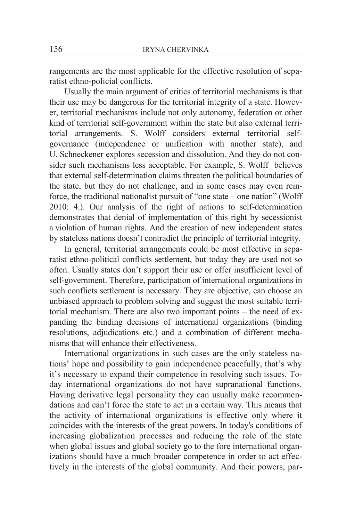rangements are the most applicable for the effective resolution of separatist ethno-policial conflicts.

Usually the main argument of critics of territorial mechanisms is that their use may be dangerous for the territorial integrity of a state. However, territorial mechanisms include not only autonomy, federation or other kind of territorial self-government within the state but also external territorial arrangements. S. Wolff considers external territorial selfgovernance (independence or unification with another state), and U. Schneckener explores secession and dissolution. And they do not consider such mechanisms less acceptable. For example, S. Wolff believes that external self-determination claims threaten the political boundaries of the state, but they do not challenge, and in some cases may even reinforce, the traditional nationalist pursuit of "one state – one nation" (Wolff 2010: 4.). Our analysis of the right of nations to self-determination demonstrates that denial of implementation of this right by secessionist a violation of human rights. And the creation of new independent states by stateless nations doesn't contradict the principle of territorial integrity.

In general, territorial arrangements could be most effective in separatist ethno-political conflicts settlement, but today they are used not so often. Usually states don't support their use or offer insufficient level of self-government. Therefore, participation of international organizations in such conflicts settlement is necessary. They are objective, can choose an unbiased approach to problem solving and suggest the most suitable territorial mechanism. There are also two important points – the need of expanding the binding decisions of international organizations (binding resolutions, adjudications etc.) and a combination of different mechanisms that will enhance their effectiveness.

International organizations in such cases are the only stateless nations' hope and possibility to gain independence peacefully, that's why it's necessary to expand their competence in resolving such issues. Today international organizations do not have supranational functions. Having derivative legal personality they can usually make recommendations and can't force the state to act in a certain way. This means that the activity of international organizations is effective only where it coincides with the interests of the great powers. In today's conditions of increasing globalization processes and reducing the role of the state when global issues and global society go to the fore international organizations should have a much broader competence in order to act effectively in the interests of the global community. And their powers, par-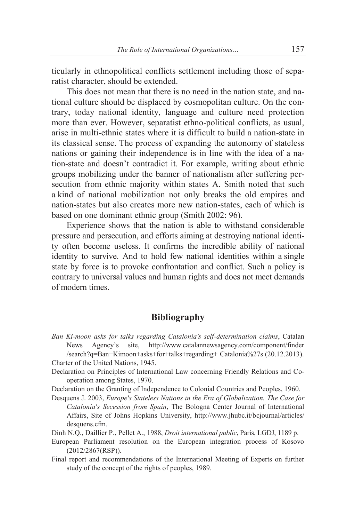ticularly in ethnopolitical conflicts settlement including those of separatist character, should be extended.

This does not mean that there is no need in the nation state, and national culture should be displaced by cosmopolitan culture. On the contrary, today national identity, language and culture need protection more than ever. However, separatist ethno-political conflicts, as usual, arise in multi-ethnic states where it is difficult to build a nation-state in its classical sense. The process of expanding the autonomy of stateless nations or gaining their independence is in line with the idea of a nation-state and doesn't contradict it. For example, writing about ethnic groups mobilizing under the banner of nationalism after suffering persecution from ethnic majority within states A. Smith noted that such a kind of national mobilization not only breaks the old empires and nation-states but also creates more new nation-states, each of which is based on one dominant ethnic group (Smith 2002: 96).

Experience shows that the nation is able to withstand considerable pressure and persecution, and efforts aiming at destroying national identity often become useless. It confirms the incredible ability of national identity to survive. And to hold few national identities within a single state by force is to provoke confrontation and conflict. Such a policy is contrary to universal values and human rights and does not meet demands of modern times.

# **Bibliography**

*Ban Ki-moon asks for talks regarding Catalonia's self-determination claims*, Catalan News Agency's site, http://www.catalannewsagency.com/component/finder /search?q=Ban+Kimoon+asks+for+talks+regarding+ Catalonia%27s (20.12.2013).

Charter of the United Nations, 1945.

Declaration on Principles of International Law concerning Friendly Relations and Cooperation among States, 1970.

Declaration on the Granting of Independence to Colonial Countries and Peoples, 1960.

Desquens J. 2003, *Europe's Stateless Nations in the Era of Globalization. The Case for Catalonia's Secession from Spain*, The Bologna Center Journal of International Affairs, Site of Johns Hopkins University, http://www.jhubc.it/bcjournal/articles/ desquens.cfm.

Dinh N.Q., Daillier P., Pellet A., 1988, *Droit international public*, Paris, LGDJ, 1189 p.

- European Parliament resolution on the European integration process of Kosovo (2012/2867(RSP)).
- Final report and recommendations of the International Meeting of Experts on further study of the concept of the rights of peoples, 1989.